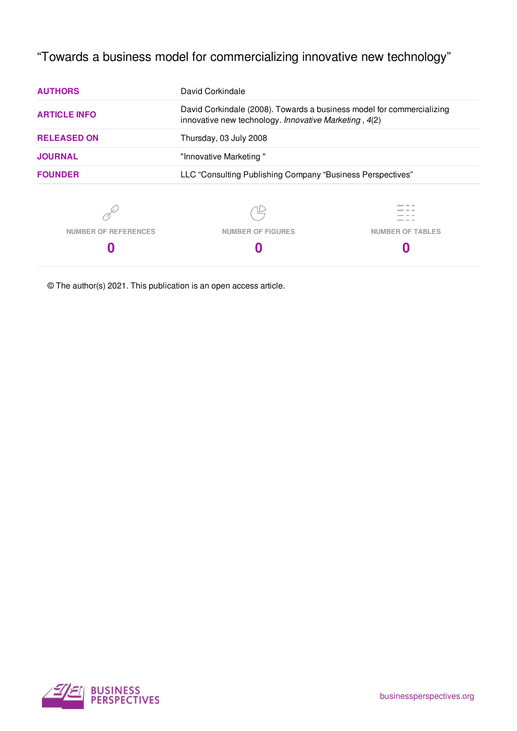# "Towards a business model for commercializing innovative new technology"

| <b>AUTHORS</b>              | David Corkindale                                                                                                               |                         |  |
|-----------------------------|--------------------------------------------------------------------------------------------------------------------------------|-------------------------|--|
| <b>ARTICLE INFO</b>         | David Corkindale (2008). Towards a business model for commercializing<br>innovative new technology. Innovative Marketing, 4(2) |                         |  |
| <b>RELEASED ON</b>          | Thursday, 03 July 2008                                                                                                         |                         |  |
| <b>JOURNAL</b>              | "Innovative Marketing"                                                                                                         |                         |  |
| <b>FOUNDER</b>              | LLC "Consulting Publishing Company "Business Perspectives"                                                                     |                         |  |
|                             |                                                                                                                                |                         |  |
| <b>NUMBER OF REFERENCES</b> | <b>NUMBER OF FIGURES</b>                                                                                                       | <b>NUMBER OF TABLES</b> |  |
|                             |                                                                                                                                |                         |  |
|                             |                                                                                                                                |                         |  |

© The author(s) 2021. This publication is an open access article.

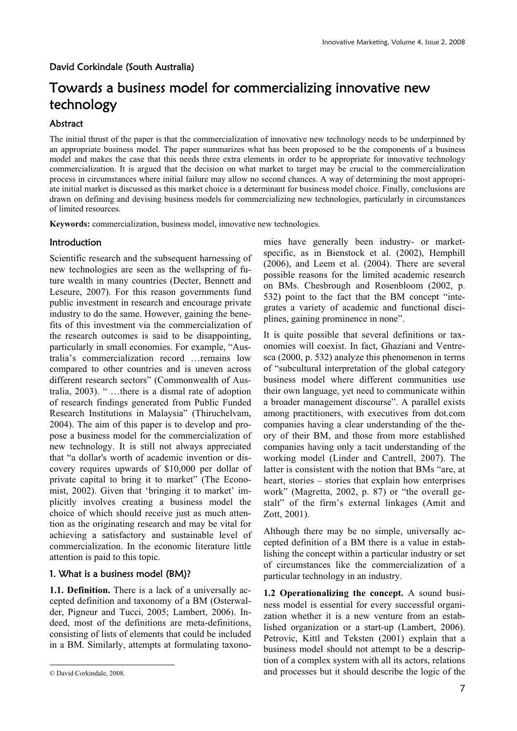David Corkindale (South Australia)

# Towards a business model for commercializing innovative new technology

### Abstract

The initial thrust of the paper is that the commercialization of innovative new technology needs to be underpinned by an appropriate business model. The paper summarizes what has been proposed to be the components of a business model and makes the case that this needs three extra elements in order to be appropriate for innovative technology commercialization. It is argued that the decision on what market to target may be crucial to the commercialization process in circumstances where initial failure may allow no second chances. A way of determining the most appropriate initial market is discussed as this market choice is a determinant for business model choice. Finally, conclusions are drawn on defining and devising business models for commercializing new technologies, particularly in circumstances of limited resources.

**Keywords:** commercialization, business model, innovative new technologies.

#### **Introduction**

Scientific research and the subsequent harnessing of new technologies are seen as the wellspring of future wealth in many countries (Decter, Bennett and Leseure, 2007). For this reason governments fund public investment in research and encourage private industry to do the same. However, gaining the benefits of this investment via the commercialization of the research outcomes is said to be disappointing, particularly in small economies. For example, "Australia's commercialization record …remains low compared to other countries and is uneven across different research sectors" (Commonwealth of Australia, 2003). " …there is a dismal rate of adoption of research findings generated from Public Funded Research Institutions in Malaysia" (Thiruchelvam, 2004). The aim of this paper is to develop and propose a business model for the commercialization of new technology. It is still not always appreciated that "a dollar's worth of academic invention or discovery requires upwards of \$10,000 per dollar of private capital to bring it to market" (The Economist, 2002). Given that 'bringing it to market' implicitly involves creating a business model the choice of which should receive just as much attention as the originating research and may be vital for achieving a satisfactory and sustainable level of commercialization. In the economic literature little attention is paid to this topic.

### 1. What is a business model (BM)?

**1.1. Definition.** There is a lack of a universally accepted definition and taxonomy of a BM (Osterwalder, Pigneur and Tucci, 2005; Lambert, 2006). Indeed, most of the definitions are meta-definitions, consisting of lists of elements that could be included in a BM. Similarly, attempts at formulating taxono-

 $\overline{a}$ 

mies have generally been industry- or marketspecific, as in Bienstock et al. (2002), Hemphill (2006), and Leem et al. (2004). There are several possible reasons for the limited academic research on BMs. Chesbrough and Rosenbloom (2002, p. 532) point to the fact that the BM concept "integrates a variety of academic and functional disciplines, gaining prominence in none".

It is quite possible that several definitions or taxonomies will coexist. In fact, Ghaziani and Ventresca (2000, p. 532) analyze this phenomenon in terms of "subcultural interpretation of the global category business model where different communities use their own language, yet need to communicate within a broader management discourse". A parallel exists among practitioners, with executives from dot.com companies having a clear understanding of the theory of their BM, and those from more established companies having only a tacit understanding of the working model (Linder and Cantrell, 2007). The latter is consistent with the notion that BMs "are, at heart, stories – stories that explain how enterprises work" (Magretta, 2002, p. 87) or "the overall gestalt" of the firm's external linkages (Amit and Zott, 2001).

Although there may be no simple, universally accepted definition of a BM there is a value in establishing the concept within a particular industry or set of circumstances like the commercialization of a particular technology in an industry.

**1.2 Operationalizing the concept.** A sound business model is essential for every successful organization whether it is a new venture from an established organization or a start-up (Lambert, 2006). Petrovic, Kittl and Teksten (2001) explain that a business model should not attempt to be a description of a complex system with all its actors, relations and processes but it should describe the logic of the

<sup>©</sup> David Corkindale, 2008.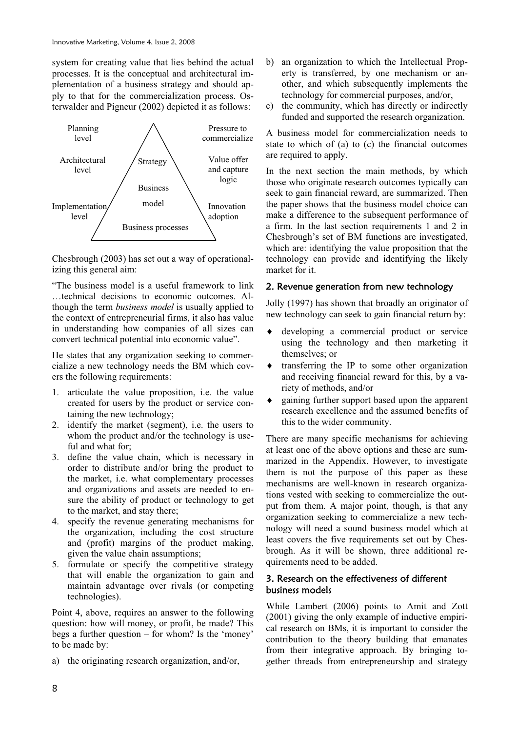system for creating value that lies behind the actual processes. It is the conceptual and architectural implementation of a business strategy and should apply to that for the commercialization process. Osterwalder and Pigneur (2002) depicted it as follows:



Chesbrough (2003) has set out a way of operationalizing this general aim:

"The business model is a useful framework to link …technical decisions to economic outcomes. Although the term *business model* is usually applied to the context of entrepreneurial firms, it also has value in understanding how companies of all sizes can convert technical potential into economic value".

He states that any organization seeking to commercialize a new technology needs the BM which covers the following requirements:

- 1. articulate the value proposition, i.e. the value created for users by the product or service containing the new technology;
- 2. identify the market (segment), i.e. the users to whom the product and/or the technology is useful and what for;
- 3. define the value chain, which is necessary in order to distribute and/or bring the product to the market, i.e. what complementary processes and organizations and assets are needed to ensure the ability of product or technology to get to the market, and stay there;
- 4. specify the revenue generating mechanisms for the organization, including the cost structure and (profit) margins of the product making, given the value chain assumptions;
- 5. formulate or specify the competitive strategy that will enable the organization to gain and maintain advantage over rivals (or competing technologies).

Point 4, above, requires an answer to the following question: how will money, or profit, be made? This begs a further question – for whom? Is the 'money' to be made by:

a) the originating research organization, and/or,

- b) an organization to which the Intellectual Property is transferred, by one mechanism or another, and which subsequently implements the technology for commercial purposes, and/or,
- c) the community, which has directly or indirectly funded and supported the research organization.

A business model for commercialization needs to state to which of (a) to (c) the financial outcomes are required to apply.

In the next section the main methods, by which those who originate research outcomes typically can seek to gain financial reward, are summarized. Then the paper shows that the business model choice can make a difference to the subsequent performance of a firm. In the last section requirements 1 and 2 in Chesbrough's set of BM functions are investigated, which are: identifying the value proposition that the technology can provide and identifying the likely market for it.

## 2. Revenue generation from new technology

Jolly (1997) has shown that broadly an originator of new technology can seek to gain financial return by:

- developing a commercial product or service using the technology and then marketing it themselves; or
- i transferring the IP to some other organization and receiving financial reward for this, by a variety of methods, and/or
- gaining further support based upon the apparent research excellence and the assumed benefits of this to the wider community.

There are many specific mechanisms for achieving at least one of the above options and these are summarized in the Appendix. However, to investigate them is not the purpose of this paper as these mechanisms are well-known in research organizations vested with seeking to commercialize the output from them. A major point, though, is that any organization seeking to commercialize a new technology will need a sound business model which at least covers the five requirements set out by Chesbrough. As it will be shown, three additional requirements need to be added.

### 3. Research on the effectiveness of different business models

While Lambert (2006) points to Amit and Zott (2001) giving the only example of inductive empirical research on BMs, it is important to consider the contribution to the theory building that emanates from their integrative approach. By bringing together threads from entrepreneurship and strategy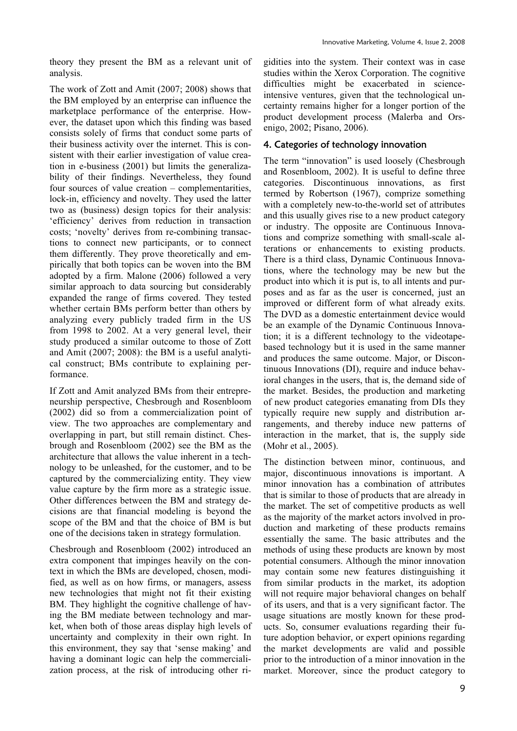theory they present the BM as a relevant unit of analysis.

The work of Zott and Amit (2007; 2008) shows that the BM employed by an enterprise can influence the marketplace performance of the enterprise. However, the dataset upon which this finding was based consists solely of firms that conduct some parts of their business activity over the internet. This is consistent with their earlier investigation of value creation in e-business (2001) but limits the generalizability of their findings. Nevertheless, they found four sources of value creation – complementarities, lock-in, efficiency and novelty. They used the latter two as (business) design topics for their analysis: 'efficiency' derives from reduction in transaction costs; 'novelty' derives from re-combining transactions to connect new participants, or to connect them differently. They prove theoretically and empirically that both topics can be woven into the BM adopted by a firm. Malone (2006) followed a very similar approach to data sourcing but considerably expanded the range of firms covered. They tested whether certain BMs perform better than others by analyzing every publicly traded firm in the US from 1998 to 2002. At a very general level, their study produced a similar outcome to those of Zott and Amit (2007; 2008): the BM is a useful analytical construct; BMs contribute to explaining performance.

If Zott and Amit analyzed BMs from their entrepreneurship perspective, Chesbrough and Rosenbloom (2002) did so from a commercialization point of view. The two approaches are complementary and overlapping in part, but still remain distinct. Chesbrough and Rosenbloom (2002) see the BM as the architecture that allows the value inherent in a technology to be unleashed, for the customer, and to be captured by the commercializing entity. They view value capture by the firm more as a strategic issue. Other differences between the BM and strategy decisions are that financial modeling is beyond the scope of the BM and that the choice of BM is but one of the decisions taken in strategy formulation.

Chesbrough and Rosenbloom (2002) introduced an extra component that impinges heavily on the context in which the BMs are developed, chosen, modified, as well as on how firms, or managers, assess new technologies that might not fit their existing BM. They highlight the cognitive challenge of having the BM mediate between technology and market, when both of those areas display high levels of uncertainty and complexity in their own right. In this environment, they say that 'sense making' and having a dominant logic can help the commercialization process, at the risk of introducing other rigidities into the system. Their context was in case studies within the Xerox Corporation. The cognitive difficulties might be exacerbated in scienceintensive ventures, given that the technological uncertainty remains higher for a longer portion of the product development process (Malerba and Orsenigo, 2002; Pisano, 2006).

# 4. Categories of technology innovation

The term "innovation" is used loosely (Chesbrough and Rosenbloom, 2002). It is useful to define three categories. Discontinuous innovations, as first termed by Robertson (1967), comprize something with a completely new-to-the-world set of attributes and this usually gives rise to a new product category or industry. The opposite are Continuous Innovations and comprize something with small-scale alterations or enhancements to existing products. There is a third class, Dynamic Continuous Innovations, where the technology may be new but the product into which it is put is, to all intents and purposes and as far as the user is concerned, just an improved or different form of what already exits. The DVD as a domestic entertainment device would be an example of the Dynamic Continuous Innovation; it is a different technology to the videotapebased technology but it is used in the same manner and produces the same outcome. Major, or Discontinuous Innovations (DI), require and induce behavioral changes in the users, that is, the demand side of the market. Besides, the production and marketing of new product categories emanating from DIs they typically require new supply and distribution arrangements, and thereby induce new patterns of interaction in the market, that is, the supply side (Mohr et al., 2005).

The distinction between minor, continuous, and major, discontinuous innovations is important. A minor innovation has a combination of attributes that is similar to those of products that are already in the market. The set of competitive products as well as the majority of the market actors involved in production and marketing of these products remains essentially the same. The basic attributes and the methods of using these products are known by most potential consumers. Although the minor innovation may contain some new features distinguishing it from similar products in the market, its adoption will not require major behavioral changes on behalf of its users, and that is a very significant factor. The usage situations are mostly known for these products. So, consumer evaluations regarding their future adoption behavior, or expert opinions regarding the market developments are valid and possible prior to the introduction of a minor innovation in the market. Moreover, since the product category to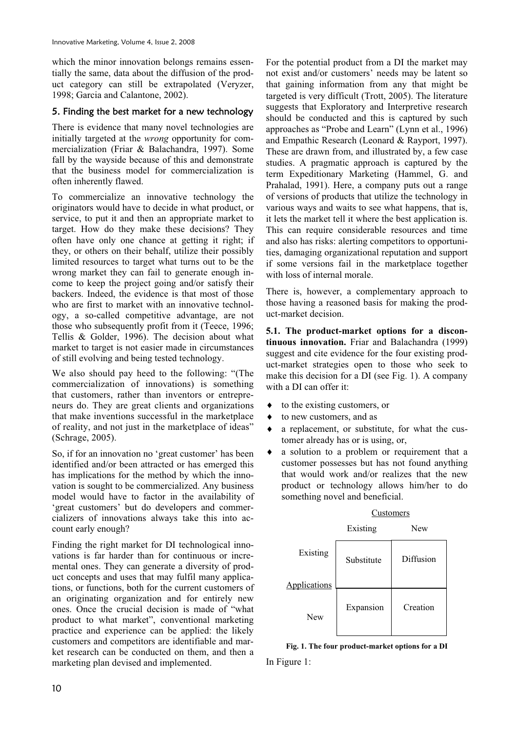which the minor innovation belongs remains essentially the same, data about the diffusion of the product category can still be extrapolated (Veryzer, 1998; Garcia and Calantone, 2002).

### 5. Finding the best market for a new technology

There is evidence that many novel technologies are initially targeted at the *wrong* opportunity for commercialization (Friar & Balachandra, 1997). Some fall by the wayside because of this and demonstrate that the business model for commercialization is often inherently flawed.

To commercialize an innovative technology the originators would have to decide in what product, or service, to put it and then an appropriate market to target. How do they make these decisions? They often have only one chance at getting it right; if they, or others on their behalf, utilize their possibly limited resources to target what turns out to be the wrong market they can fail to generate enough income to keep the project going and/or satisfy their backers. Indeed, the evidence is that most of those who are first to market with an innovative technology, a so-called competitive advantage, are not those who subsequently profit from it (Teece, 1996; Tellis & Golder, 1996). The decision about what market to target is not easier made in circumstances of still evolving and being tested technology.

We also should pay heed to the following: "(The commercialization of innovations) is something that customers, rather than inventors or entrepreneurs do. They are great clients and organizations that make inventions successful in the marketplace of reality, and not just in the marketplace of ideas" (Schrage, 2005).

So, if for an innovation no 'great customer' has been identified and/or been attracted or has emerged this has implications for the method by which the innovation is sought to be commercialized. Any business model would have to factor in the availability of 'great customers' but do developers and commercializers of innovations always take this into account early enough?

Finding the right market for DI technological innovations is far harder than for continuous or incremental ones. They can generate a diversity of product concepts and uses that may fulfil many applications, or functions, both for the current customers of an originating organization and for entirely new ones. Once the crucial decision is made of "what product to what market", conventional marketing practice and experience can be applied: the likely customers and competitors are identifiable and market research can be conducted on them, and then a marketing plan devised and implemented.

For the potential product from a DI the market may not exist and/or customers' needs may be latent so that gaining information from any that might be targeted is very difficult (Trott, 2005). The literature suggests that Exploratory and Interpretive research should be conducted and this is captured by such approaches as "Probe and Learn" (Lynn et al., 1996) and Empathic Research (Leonard & Rayport, 1997). These are drawn from, and illustrated by, a few case studies. A pragmatic approach is captured by the term Expeditionary Marketing (Hammel, G. and Prahalad, 1991). Here, a company puts out a range of versions of products that utilize the technology in various ways and waits to see what happens, that is, it lets the market tell it where the best application is. This can require considerable resources and time and also has risks: alerting competitors to opportunities, damaging organizational reputation and support if some versions fail in the marketplace together with loss of internal morale.

There is, however, a complementary approach to those having a reasoned basis for making the product-market decision.

**5.1. The product-market options for a discontinuous innovation.** Friar and Balachandra (1999) suggest and cite evidence for the four existing product-market strategies open to those who seek to make this decision for a DI (see Fig. 1). A company with a DI can offer it:

- $\bullet$  to the existing customers, or
- to new customers, and as
- a replacement, or substitute, for what the customer already has or is using, or,
- a solution to a problem or requirement that a customer possesses but has not found anything that would work and/or realizes that the new product or technology allows him/her to do something novel and beneficial.

|              | Existing   | New       |
|--------------|------------|-----------|
| Existing     | Substitute | Diffusion |
| Applications |            |           |
| <b>New</b>   | Expansion  | Creation  |

#### Customers

**Fig. 1. The four product-market options for a DI**  In Figure 1: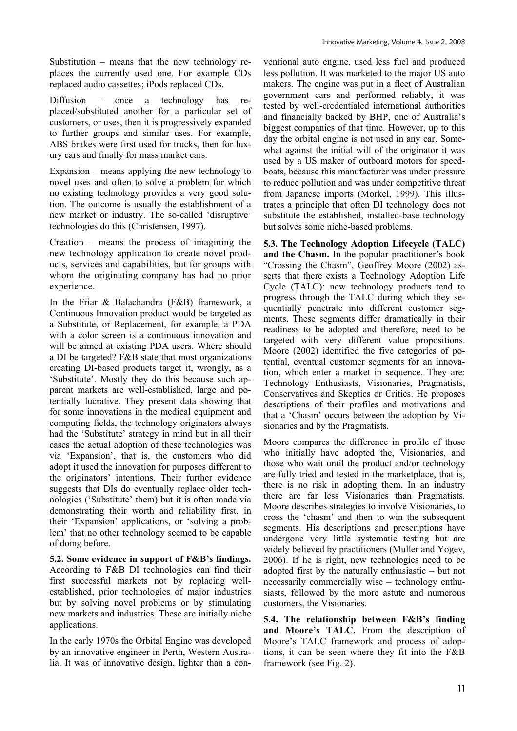Substitution – means that the new technology replaces the currently used one. For example CDs replaced audio cassettes; iPods replaced CDs.

Diffusion – once a technology has replaced/substituted another for a particular set of customers, or uses, then it is progressively expanded to further groups and similar uses. For example, ABS brakes were first used for trucks, then for luxury cars and finally for mass market cars.

Expansion – means applying the new technology to novel uses and often to solve a problem for which no existing technology provides a very good solution. The outcome is usually the establishment of a new market or industry. The so-called 'disruptive' technologies do this (Christensen, 1997).

Creation – means the process of imagining the new technology application to create novel products, services and capabilities, but for groups with whom the originating company has had no prior experience.

In the Friar & Balachandra (F&B) framework, a Continuous Innovation product would be targeted as a Substitute, or Replacement, for example, a PDA with a color screen is a continuous innovation and will be aimed at existing PDA users. Where should a DI be targeted? F&B state that most organizations creating DI-based products target it, wrongly, as a 'Substitute'. Mostly they do this because such apparent markets are well-established, large and potentially lucrative. They present data showing that for some innovations in the medical equipment and computing fields, the technology originators always had the 'Substitute' strategy in mind but in all their cases the actual adoption of these technologies was via 'Expansion', that is, the customers who did adopt it used the innovation for purposes different to the originators' intentions. Their further evidence suggests that DIs do eventually replace older technologies ('Substitute' them) but it is often made via demonstrating their worth and reliability first, in their 'Expansion' applications, or 'solving a problem' that no other technology seemed to be capable of doing before.

**5.2. Some evidence in support of F&B's findings.** According to F&B DI technologies can find their first successful markets not by replacing wellestablished, prior technologies of major industries but by solving novel problems or by stimulating new markets and industries. These are initially niche applications.

In the early 1970s the Orbital Engine was developed by an innovative engineer in Perth, Western Australia. It was of innovative design, lighter than a conventional auto engine, used less fuel and produced less pollution. It was marketed to the major US auto makers. The engine was put in a fleet of Australian government cars and performed reliably, it was tested by well-credentialed international authorities and financially backed by BHP, one of Australia's biggest companies of that time. However, up to this day the orbital engine is not used in any car. Somewhat against the initial will of the originator it was used by a US maker of outboard motors for speedboats, because this manufacturer was under pressure to reduce pollution and was under competitive threat from Japanese imports (Morkel, 1999). This illustrates a principle that often DI technology does not substitute the established, installed-base technology but solves some niche-based problems.

**5.3. The Technology Adoption Lifecycle (TALC) and the Chasm.** In the popular practitioner's book "Crossing the Chasm", Geoffrey Moore (2002) asserts that there exists a Technology Adoption Life Cycle (TALC): new technology products tend to progress through the TALC during which they sequentially penetrate into different customer segments. These segments differ dramatically in their readiness to be adopted and therefore, need to be targeted with very different value propositions. Moore (2002) identified the five categories of potential, eventual customer segments for an innovation, which enter a market in sequence. They are: Technology Enthusiasts, Visionaries, Pragmatists, Conservatives and Skeptics or Critics. He proposes descriptions of their profiles and motivations and that a 'Chasm' occurs between the adoption by Visionaries and by the Pragmatists.

Moore compares the difference in profile of those who initially have adopted the, Visionaries, and those who wait until the product and/or technology are fully tried and tested in the marketplace, that is, there is no risk in adopting them. In an industry there are far less Visionaries than Pragmatists. Moore describes strategies to involve Visionaries, to cross the 'chasm' and then to win the subsequent segments. His descriptions and prescriptions have undergone very little systematic testing but are widely believed by practitioners (Muller and Yogev, 2006). If he is right, new technologies need to be adopted first by the naturally enthusiastic – but not necessarily commercially wise – technology enthusiasts, followed by the more astute and numerous customers, the Visionaries.

**5.4. The relationship between F&B's finding and Moore's TALC.** From the description of Moore's TALC framework and process of adoptions, it can be seen where they fit into the F&B framework (see Fig. 2).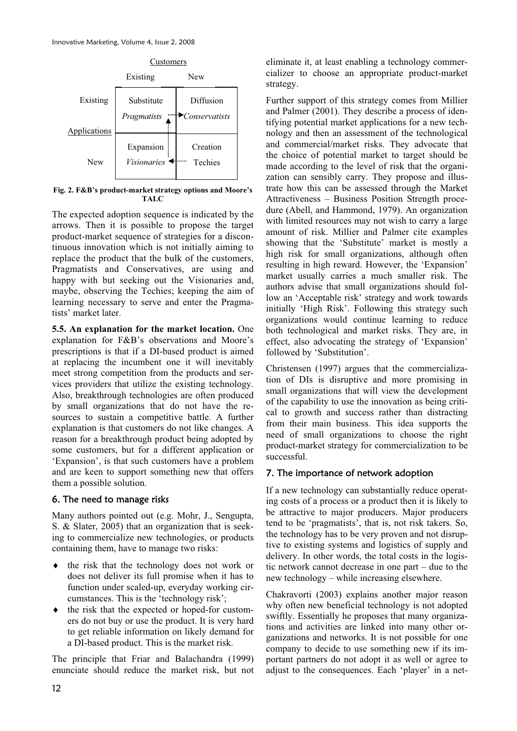

**Fig. 2. F&B's product-market strategy options and Moore's TALC**

The expected adoption sequence is indicated by the arrows. Then it is possible to propose the target product-market sequence of strategies for a discontinuous innovation which is not initially aiming to replace the product that the bulk of the customers, Pragmatists and Conservatives, are using and happy with but seeking out the Visionaries and, maybe, observing the Techies; keeping the aim of learning necessary to serve and enter the Pragmatists' market later.

**5.5. An explanation for the market location.** One explanation for F&B's observations and Moore's prescriptions is that if a DI-based product is aimed at replacing the incumbent one it will inevitably meet strong competition from the products and services providers that utilize the existing technology. Also, breakthrough technologies are often produced by small organizations that do not have the resources to sustain a competitive battle. A further explanation is that customers do not like changes. A reason for a breakthrough product being adopted by some customers, but for a different application or 'Expansion', is that such customers have a problem and are keen to support something new that offers them a possible solution.

### 6. The need to manage risks

Many authors pointed out (e.g. Mohr, J., Sengupta, S. & Slater, 2005) that an organization that is seeking to commercialize new technologies, or products containing them, have to manage two risks:

- $\bullet$  the risk that the technology does not work or does not deliver its full promise when it has to function under scaled-up, everyday working circumstances. This is the 'technology risk';
- $\bullet$  the risk that the expected or hoped-for customers do not buy or use the product. It is very hard to get reliable information on likely demand for a DI-based product. This is the market risk.

The principle that Friar and Balachandra (1999) enunciate should reduce the market risk, but not eliminate it, at least enabling a technology commercializer to choose an appropriate product-market strategy.

Further support of this strategy comes from Millier and Palmer (2001). They describe a process of identifying potential market applications for a new technology and then an assessment of the technological and commercial/market risks. They advocate that the choice of potential market to target should be made according to the level of risk that the organization can sensibly carry. They propose and illustrate how this can be assessed through the Market Attractiveness – Business Position Strength procedure (Abell, and Hammond, 1979). An organization with limited resources may not wish to carry a large amount of risk. Millier and Palmer cite examples showing that the 'Substitute' market is mostly a high risk for small organizations, although often resulting in high reward. However, the 'Expansion' market usually carries a much smaller risk. The authors advise that small organizations should follow an 'Acceptable risk' strategy and work towards initially 'High Risk'. Following this strategy such organizations would continue learning to reduce both technological and market risks. They are, in effect, also advocating the strategy of 'Expansion' followed by 'Substitution'.

Christensen (1997) argues that the commercialization of DIs is disruptive and more promising in small organizations that will view the development of the capability to use the innovation as being critical to growth and success rather than distracting from their main business. This idea supports the need of small organizations to choose the right product-market strategy for commercialization to be successful.

### 7. The importance of network adoption

If a new technology can substantially reduce operating costs of a process or a product then it is likely to be attractive to major producers. Major producers tend to be 'pragmatists', that is, not risk takers. So, the technology has to be very proven and not disruptive to existing systems and logistics of supply and delivery. In other words, the total costs in the logistic network cannot decrease in one part – due to the new technology – while increasing elsewhere.

Chakravorti (2003) explains another major reason why often new beneficial technology is not adopted swiftly. Essentially he proposes that many organizations and activities are linked into many other organizations and networks. It is not possible for one company to decide to use something new if its important partners do not adopt it as well or agree to adjust to the consequences. Each 'player' in a net-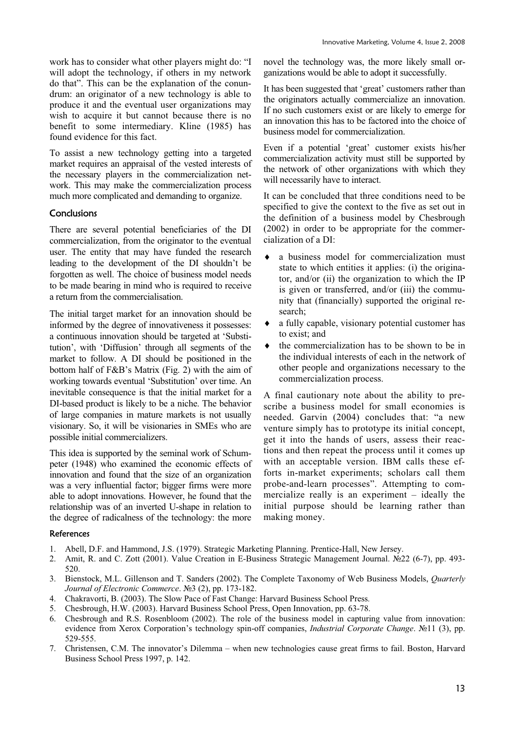work has to consider what other players might do: "I will adopt the technology, if others in my network do that". This can be the explanation of the conundrum: an originator of a new technology is able to produce it and the eventual user organizations may wish to acquire it but cannot because there is no benefit to some intermediary. Kline (1985) has found evidence for this fact.

To assist a new technology getting into a targeted market requires an appraisal of the vested interests of the necessary players in the commercialization network. This may make the commercialization process much more complicated and demanding to organize.

### **Conclusions**

There are several potential beneficiaries of the DI commercialization, from the originator to the eventual user. The entity that may have funded the research leading to the development of the DI shouldn't be forgotten as well. The choice of business model needs to be made bearing in mind who is required to receive a return from the commercialisation.

The initial target market for an innovation should be informed by the degree of innovativeness it possesses: a continuous innovation should be targeted at 'Substitution', with 'Diffusion' through all segments of the market to follow. A DI should be positioned in the bottom half of F&B's Matrix (Fig. 2) with the aim of working towards eventual 'Substitution' over time. An inevitable consequence is that the initial market for a DI-based product is likely to be a niche. The behavior of large companies in mature markets is not usually visionary. So, it will be visionaries in SMEs who are possible initial commercializers.

This idea is supported by the seminal work of Schumpeter (1948) who examined the economic effects of innovation and found that the size of an organization was a very influential factor; bigger firms were more able to adopt innovations. However, he found that the relationship was of an inverted U-shape in relation to the degree of radicalness of the technology: the more

novel the technology was, the more likely small organizations would be able to adopt it successfully.

It has been suggested that 'great' customers rather than the originators actually commercialize an innovation. If no such customers exist or are likely to emerge for an innovation this has to be factored into the choice of business model for commercialization.

Even if a potential 'great' customer exists his/her commercialization activity must still be supported by the network of other organizations with which they will necessarily have to interact.

It can be concluded that three conditions need to be specified to give the context to the five as set out in the definition of a business model by Chesbrough (2002) in order to be appropriate for the commercialization of a DI:

- $\bullet$  a business model for commercialization must state to which entities it applies: (i) the originator, and/or (ii) the organization to which the IP is given or transferred, and/or (iii) the community that (financially) supported the original research;
- a fully capable, visionary potential customer has to exist; and
- $\bullet$  the commercialization has to be shown to be in the individual interests of each in the network of other people and organizations necessary to the commercialization process.

A final cautionary note about the ability to prescribe a business model for small economies is needed. Garvin (2004) concludes that: "a new venture simply has to prototype its initial concept, get it into the hands of users, assess their reactions and then repeat the process until it comes up with an acceptable version. IBM calls these efforts in-market experiments; scholars call them probe-and-learn processes". Attempting to commercialize really is an experiment – ideally the initial purpose should be learning rather than making money.

#### References

- 1. Abell, D.F. and Hammond, J.S. (1979). Strategic Marketing Planning. Prentice-Hall, New Jersey.
- 2. Amit, R. and C. Zott (2001). Value Creation in E-Business Strategic Management Journal.  $\mathbb{N}^2$ 2 (6-7), pp. 493-520.
- 3. Bienstock, M.L. Gillenson and T. Sanders (2002). The Complete Taxonomy of Web Business Models, *Quarterly Journal of Electronic Commerce*. №3 (2), pp. 173-182.
- 4. Chakravorti, B. (2003). The Slow Pace of Fast Change: Harvard Business School Press*.*
- 5. Chesbrough, H.W. (2003). Harvard Business School Press, Open Innovation, pp. 63-78.
- 6. Chesbrough and R.S. Rosenbloom (2002). The role of the business model in capturing value from innovation: evidence from Xerox Corporation's technology spin-off companies, *Industrial Corporate Change*. Nº11 (3), pp. 529-555.
- 7. Christensen, C.M. The innovator's Dilemma when new technologies cause great firms to fail. Boston, Harvard Business School Press 1997, p. 142.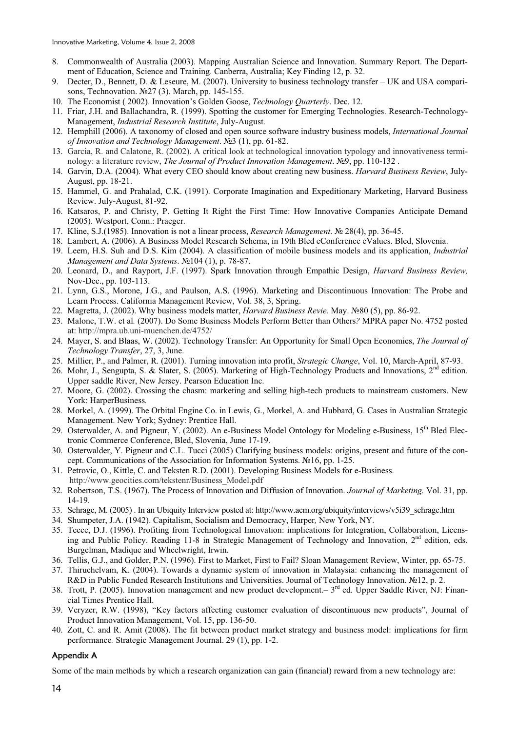- 8. Commonwealth of Australia (2003). Mapping Australian Science and Innovation. Summary Report. The Department of Education, Science and Training. Canberra, Australia; Key Finding 12, p. 32.
- 9. Decter, D., Bennett, D. & Leseure, M. (2007). University to business technology transfer UK and USA comparisons, Technovation. No. 27 (3). March, pp. 145-155.
- 10. The Economist ( 2002). Innovation's Golden Goose, *Technology Quarterly*. Dec. 12.
- 11. Friar, J.H. and Ballachandra, R. (1999). Spotting the customer for Emerging Technologies. Research-Technology-Management, *Industrial Research Institute*, July-August.
- 12. Hemphill (2006). A taxonomy of closed and open source software industry business models, *International Journal of Innovation and Technology Management*. №3 (1), pp. 61-82.
- 13. Garcia, R. and Calatone, R. (2002). A critical look at technological innovation typology and innovativeness terminology: a literature review, *The Journal of Product Innovation Management*.  $\mathbb{N}9$ , pp. 110-132.
- 14. Garvin, D.A. (2004). What every CEO should know about creating new business. *Harvard Business Review*, July-August, pp. 18-21.
- 15. Hammel, G. and Prahalad, C.K. (1991). Corporate Imagination and Expeditionary Marketing, Harvard Business Review. July-August, 81-92.
- 16. Katsaros, P. and Christy, P. Getting It Right the First Time: How Innovative Companies Anticipate Demand (2005). Westport, Conn.: Praeger.
- 17. Kline, S.J.(1985). Innovation is not a linear process, *Research Management*. ʋ 28(4), pp. 36-45.
- 18. Lambert, A. (2006). A Business Model Research Schema, in 19th Bled eConference eValues. Bled, Slovenia.
- 19. Leem, H.S. Suh and D.S. Kim (2004). A classification of mobile business models and its application, *Industrial Management and Data Systems.*  $\mathcal{N}$ <sup>104</sup> (1), p. 78-87.
- 20. Leonard, D., and Rayport, J.F. (1997). Spark Innovation through Empathic Design, *Harvard Business Review,* Nov-Dec., pp. 103-113.
- 21. Lynn, G.S., Morone, J.G., and Paulson, A.S. (1996). Marketing and Discontinuous Innovation: The Probe and Learn Process. California Management Review, Vol. 38, 3, Spring.
- 22. Magretta, J. (2002). Why business models matter, *Harvard Business Revie*. May. N<sub>2</sub>80 (5), pp. 86-92.
- 23. Malone, T.W. et al*.* (2007). Do Some Business Models Perform Better than Others*?* MPRA paper No. 4752 posted at: http://mpra.ub.uni-muenchen.de/4752/
- 24. Mayer, S. and Blaas, W. (2002). Technology Transfer: An Opportunity for Small Open Economies, *The Journal of Technology Transfer*, 27, 3, June.
- 25. Millier, P., and Palmer, R. (2001). Turning innovation into profit, *Strategic Change*, Vol. 10, March-April, 87-93.
- 26. Mohr, J., Sengupta, S. & Slater, S. (2005). Marketing of High-Technology Products and Innovations, 2<sup>nd</sup> edition. Upper saddle River, New Jersey. Pearson Education Inc.
- 27. Moore, G. (2002). Crossing the chasm: marketing and selling high-tech products to mainstream customers. New York: HarperBusiness*.*
- 28. Morkel, A. (1999). The Orbital Engine Co. in Lewis, G., Morkel, A. and Hubbard, G. Cases in Australian Strategic Management. New York; Sydney: Prentice Hall.
- 29. Osterwalder, A. and Pigneur, Y. (2002). An e-Business Model Ontology for Modeling e-Business, 15<sup>th</sup> Bled Electronic Commerce Conference, Bled, Slovenia, June 17-19.
- 30. Osterwalder, Y. Pigneur and C.L. Tucci (2005) Clarifying business models: origins, present and future of the concept. Communications of the Association for Information Systems. No 16, pp. 1-25.
- 31. Petrovic, O., Kittle, C. and Teksten R.D. (2001). Developing Business Models for e-Business. http://www.geocities.com/tekstenr/Business\_Model.pdf
- 32. Robertson, T.S. (1967). The Process of Innovation and Diffusion of Innovation. *Journal of Marketing.* Vol. 31, pp. 14-19.
- 33. Schrage, M. (2005) . In an Ubiquity Interview posted at: http://www.acm.org/ubiquity/interviews/v5i39\_schrage.htm
- 34. Shumpeter, J.A. (1942). Capitalism, Socialism and Democracy, Harper*,* New York, NY.
- 35. Teece, D.J. (1996). Profiting from Technological Innovation: implications for Integration, Collaboration, Licensing and Public Policy. Reading 11-8 in Strategic Management of Technology and Innovation, 2<sup>nd</sup> edition, eds. Burgelman, Madique and Wheelwright, Irwin.
- 36. Tellis, G.J., and Golder, P.N. (1996). First to Market, First to Fail? Sloan Management Review, Winter, pp. 65-75.
- 37. Thiruchelvam, K. (2004). Towards a dynamic system of innovation in Malaysia: enhancing the management of R&D in Public Funded Research Institutions and Universities. Journal of Technology Innovation. №12, p. 2.
- 38. Trott, P. (2005). Innovation management and new product development. 3<sup>rd</sup> ed. Upper Saddle River, NJ: Financial Times Prentice Hall.
- 39. Veryzer, R.W. (1998), "Key factors affecting customer evaluation of discontinuous new products", Journal of Product Innovation Management, Vol. 15, pp. 136-50.
- 40. Zott, C. and R. Amit (2008). The fit between product market strategy and business model: implications for firm performance*.* Strategic Management Journal. 29 (1), pp. 1-2.

#### Appendix A

Some of the main methods by which a research organization can gain (financial) reward from a new technology are: